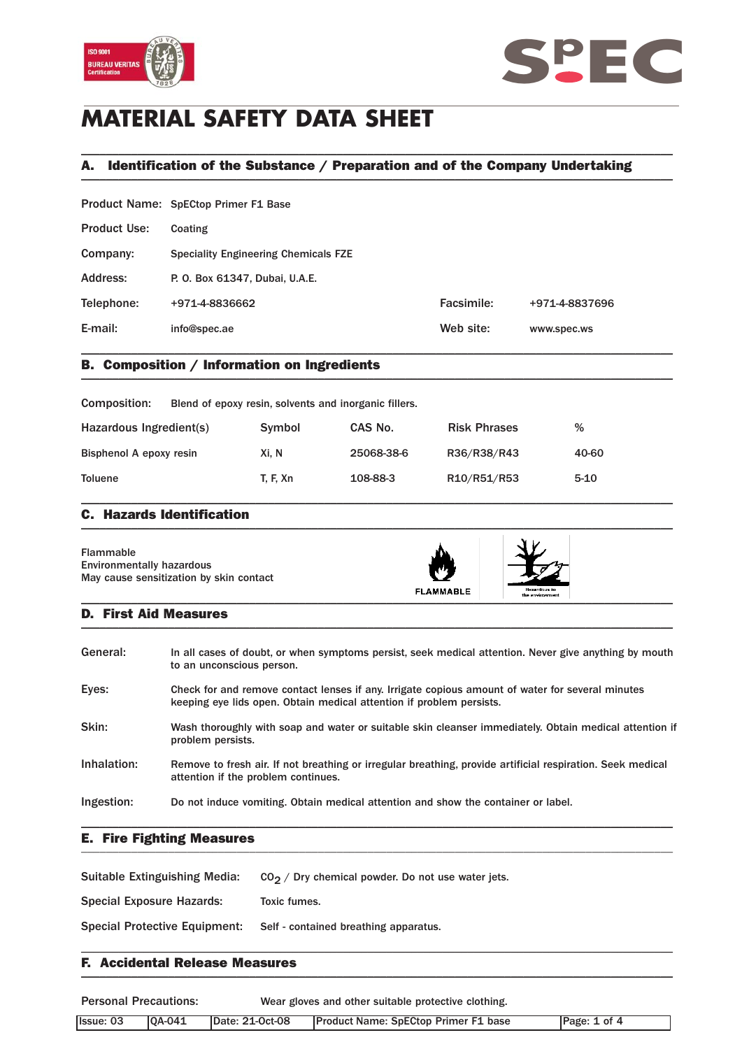



# **MATERIAL SAFETY DATA SHEET**

## A. Identification of the Substance / Preparation and of the Company Undertaking \_\_\_\_\_\_\_\_\_\_\_\_\_\_\_\_\_\_\_\_\_\_\_\_\_\_\_\_\_\_\_\_\_\_\_\_\_\_\_\_\_\_\_\_\_\_\_\_\_\_\_\_\_\_\_\_\_\_\_\_\_\_\_\_\_\_\_\_\_\_\_\_\_\_\_\_\_\_\_\_\_\_\_\_\_\_\_\_\_\_\_\_\_\_\_

\_\_\_\_\_\_\_\_\_\_\_\_\_\_\_\_\_\_\_\_\_\_\_\_\_\_\_\_\_\_\_\_\_\_\_\_\_\_\_\_\_\_\_\_\_\_\_\_\_\_\_\_\_\_\_\_\_\_\_\_\_\_\_\_\_\_\_\_\_\_\_\_\_\_\_\_\_\_\_\_\_\_\_\_\_\_\_\_\_\_\_\_\_\_\_

|                     | Product Name: SpECtop Primer F1 Base        |            |                |
|---------------------|---------------------------------------------|------------|----------------|
| <b>Product Use:</b> | Coating                                     |            |                |
| Company:            | <b>Speciality Engineering Chemicals FZE</b> |            |                |
| Address:            | P. O. Box 61347, Dubai, U.A.E.              |            |                |
| Telephone:          | +971-4-8836662                              | Facsimile: | +971-4-8837696 |
| E-mail:             | info@spec.ae                                | Web site:  | www.spec.ws    |
|                     |                                             |            |                |

## B. Composition / Information on Ingredients \_\_\_\_\_\_\_\_\_\_\_\_\_\_\_\_\_\_\_\_\_\_\_\_\_\_\_\_\_\_\_\_\_\_\_\_\_\_\_\_\_\_\_\_\_\_\_\_\_\_\_\_\_\_\_\_\_\_\_\_\_\_\_\_\_\_\_\_\_\_\_\_\_\_\_\_\_\_\_\_\_\_\_\_\_\_\_\_\_\_\_\_\_\_\_

| Composition:<br>Blend of epoxy resin, solvents and inorganic fillers. |                 |            |                     |          |
|-----------------------------------------------------------------------|-----------------|------------|---------------------|----------|
| Hazardous Ingredient(s)                                               | Symbol          | CAS No.    | <b>Risk Phrases</b> | %        |
| Bisphenol A epoxy resin                                               | Xi. N           | 25068-38-6 | R36/R38/R43         | 40-60    |
| <b>Toluene</b>                                                        | <b>T. F. Xn</b> | 108-88-3   | R10/R51/R53         | $5 - 10$ |

### C. Hazards Identification  $\blacksquare$

| Flammable<br><b>Environmentally hazardous</b><br>May cause sensitization by skin contact | <b>FLAMMABLE</b> | Hazardous to<br>the environment |  |
|------------------------------------------------------------------------------------------|------------------|---------------------------------|--|
|------------------------------------------------------------------------------------------|------------------|---------------------------------|--|

### D. First Aid Measures  $\blacksquare$

| General:    | In all cases of doubt, or when symptoms persist, seek medical attention. Never give anything by mouth<br>to an unconscious person.                                       |
|-------------|--------------------------------------------------------------------------------------------------------------------------------------------------------------------------|
| Eyes:       | Check for and remove contact lenses if any. Irrigate copious amount of water for several minutes<br>keeping eye lids open. Obtain medical attention if problem persists. |
| Skin:       | Wash thoroughly with soap and water or suitable skin cleanser immediately. Obtain medical attention if<br>problem persists.                                              |
| Inhalation: | Remove to fresh air. If not breathing or irregular breathing, provide artificial respiration. Seek medical<br>attention if the problem continues.                        |
| Ingestion:  | Do not induce vomiting. Obtain medical attention and show the container or label.                                                                                        |

### E. Fire Fighting Measures \_\_\_\_\_\_\_\_\_\_\_\_\_\_\_\_\_\_\_\_\_\_\_\_\_\_\_\_\_\_\_\_\_\_\_\_\_\_\_\_\_\_\_\_\_\_\_\_\_\_\_\_\_\_\_\_\_\_\_\_\_\_\_\_\_\_\_\_\_\_\_\_\_\_\_\_\_\_\_\_\_\_\_\_\_\_\_\_\_\_\_\_\_\_\_

| <b>Suitable Extinguishing Media:</b> | $CO2$ / Dry chemical powder. Do not use water jets. |
|--------------------------------------|-----------------------------------------------------|
| <b>Special Exposure Hazards:</b>     | Toxic fumes.                                        |
| <b>Special Protective Equipment:</b> | Self - contained breathing apparatus.               |
|                                      |                                                     |

### F. Accidental Release Measures  $\blacksquare$

| <b>Personal Precautions:</b> |               | Wear gloves and other suitable protective clothing. |                                             |              |
|------------------------------|---------------|-----------------------------------------------------|---------------------------------------------|--------------|
| Issue: 03                    | <b>0A-041</b> | Date: 21-Oct-08                                     | <b>Product Name: SpECtop Primer F1 base</b> | Page: 1 of 4 |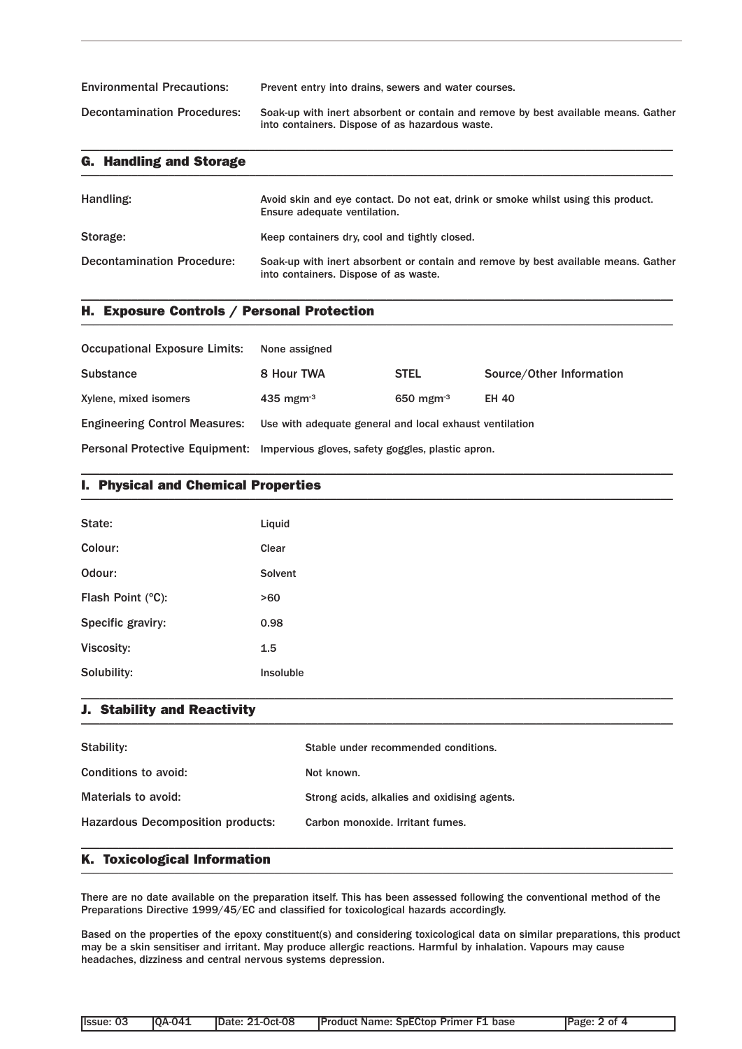| <b>Environmental Precautions:</b>  | Prevent entry into drains, sewers and water courses.                                                                                  |
|------------------------------------|---------------------------------------------------------------------------------------------------------------------------------------|
| <b>Decontamination Procedures:</b> | Soak-up with inert absorbent or contain and remove by best available means. Gather<br>into containers. Dispose of as hazardous waste. |

\_\_\_\_\_\_\_\_\_\_\_\_\_\_\_\_\_\_\_\_\_\_\_\_\_\_\_\_\_\_\_\_\_\_\_\_\_\_\_\_\_\_\_\_\_\_\_\_\_\_\_\_\_\_\_\_\_\_\_\_\_\_\_\_\_\_\_\_\_\_\_\_\_\_\_\_\_\_\_\_\_\_\_\_\_\_\_\_\_\_\_\_\_\_\_

| Handling:                         | Avoid skin and eye contact. Do not eat, drink or smoke whilst using this product.<br>Ensure adequate ventilation.           |
|-----------------------------------|-----------------------------------------------------------------------------------------------------------------------------|
| Storage:                          | Keep containers dry, cool and tightly closed.                                                                               |
| <b>Decontamination Procedure:</b> | Soak-up with inert absorbent or contain and remove by best available means. Gather<br>into containers. Dispose of as waste. |

\_\_\_\_\_\_\_\_\_\_\_\_\_\_\_\_\_\_\_\_\_\_\_\_\_\_\_\_\_\_\_\_\_\_\_\_\_\_\_\_\_\_\_\_\_\_\_\_\_\_\_\_\_\_\_\_\_\_\_\_\_\_\_\_\_\_\_\_\_\_\_\_\_\_\_\_\_\_\_\_\_\_\_\_\_\_\_\_\_\_\_\_\_\_\_

## H. Exposure Controls / Personal Protection \_\_\_\_\_\_\_\_\_\_\_\_\_\_\_\_\_\_\_\_\_\_\_\_\_\_\_\_\_\_\_\_\_\_\_\_\_\_\_\_\_\_\_\_\_\_\_\_\_\_\_\_\_\_\_\_\_\_\_\_\_\_\_\_\_\_\_\_\_\_\_\_\_\_\_\_\_\_\_\_\_\_\_\_\_\_\_\_\_\_\_\_\_\_\_

| <b>Occupational Exposure Limits:</b> | None assigned                                                                    |                 |                          |
|--------------------------------------|----------------------------------------------------------------------------------|-----------------|--------------------------|
| <b>Substance</b>                     | 8 Hour TWA                                                                       | <b>STEL</b>     | Source/Other Information |
| Xylene, mixed isomers                | $435$ mgm <sup>-3</sup>                                                          | 650 mgm $^{-3}$ | <b>EH 40</b>             |
| <b>Engineering Control Measures:</b> | Use with adequate general and local exhaust ventilation                          |                 |                          |
|                                      | Personal Protective Equipment: Impervious gloves, safety goggles, plastic apron. |                 |                          |

\_\_\_\_\_\_\_\_\_\_\_\_\_\_\_\_\_\_\_\_\_\_\_\_\_\_\_\_\_\_\_\_\_\_\_\_\_\_\_\_\_\_\_\_\_\_\_\_\_\_\_\_\_\_\_\_\_\_\_\_\_\_\_\_\_\_\_\_\_\_\_\_\_\_\_\_\_\_\_\_\_\_\_\_\_\_\_\_\_\_\_\_\_\_\_

## I. Physical and Chemical Properties \_\_\_\_\_\_\_\_\_\_\_\_\_\_\_\_\_\_\_\_\_\_\_\_\_\_\_\_\_\_\_\_\_\_\_\_\_\_\_\_\_\_\_\_\_\_\_\_\_\_\_\_\_\_\_\_\_\_\_\_\_\_\_\_\_\_\_\_\_\_\_\_\_\_\_\_\_\_\_\_\_\_\_\_\_\_\_\_\_\_\_\_\_\_\_

| State:            | Liquid    |
|-------------------|-----------|
| Colour:           | Clear     |
| Odour:            | Solvent   |
| Flash Point (°C): | >60       |
| Specific graviry: | 0.98      |
| Viscosity:        | 1.5       |
| Solubility:       | Insoluble |

## J. Stability and Reactivity \_\_\_\_\_\_\_\_\_\_\_\_\_\_\_\_\_\_\_\_\_\_\_\_\_\_\_\_\_\_\_\_\_\_\_\_\_\_\_\_\_\_\_\_\_\_\_\_\_\_\_\_\_\_\_\_\_\_\_\_\_\_\_\_\_\_\_\_\_\_\_\_\_\_\_\_\_\_\_\_\_\_\_\_\_\_\_\_\_\_\_\_\_\_\_

| Stability:                               | Stable under recommended conditions.         |
|------------------------------------------|----------------------------------------------|
| Conditions to avoid:                     | Not known.                                   |
| Materials to avoid:                      | Strong acids, alkalies and oxidising agents. |
| <b>Hazardous Decomposition products:</b> | Carbon monoxide, Irritant fumes.             |
|                                          |                                              |

\_\_\_\_\_\_\_\_\_\_\_\_\_\_\_\_\_\_\_\_\_\_\_\_\_\_\_\_\_\_\_\_\_\_\_\_\_\_\_\_\_\_\_\_\_\_\_\_\_\_\_\_\_\_\_\_\_\_\_\_\_\_\_\_\_\_\_\_\_\_\_\_\_\_\_\_\_\_\_\_\_\_\_\_\_\_\_\_\_\_\_\_\_\_\_

## K. Toxicological Information \_\_\_\_\_\_\_\_\_\_\_\_\_\_\_\_\_\_\_\_\_\_\_\_\_\_\_\_\_\_\_\_\_\_\_\_\_\_\_\_\_\_\_\_\_\_\_\_\_\_\_\_\_\_\_\_\_\_\_\_\_\_\_\_\_\_\_\_\_\_\_\_\_\_\_\_\_\_\_\_\_\_\_\_\_\_\_\_\_\_\_\_\_\_\_

There are no date available on the preparation itself. This has been assessed following the conventional method of the Preparations Directive 1999/45/EC and classified for toxicological hazards accordingly.

Based on the properties of the epoxy constituent(s) and considering toxicological data on similar preparations, this product may be a skin sensitiser and irritant. May produce allergic reactions. Harmful by inhalation. Vapours may cause headaches, dizziness and central nervous systems depression.

| llssue: 03 | <b>10A-041</b> | <b>IDate: 21-Oct-08</b> | <b>Product Name: SpECtop Primer F1 base</b> | Page: 2 of 4 |
|------------|----------------|-------------------------|---------------------------------------------|--------------|
|            |                |                         |                                             |              |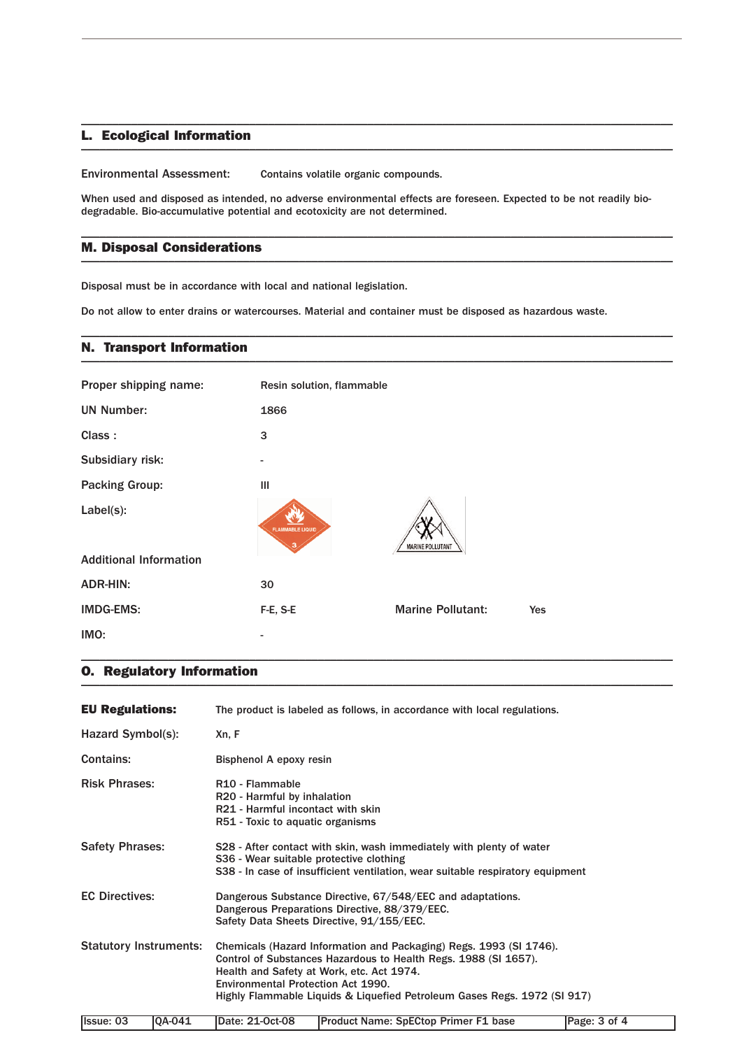#### L. Ecological Information  $\blacksquare$   $\blacksquare$   $\blacksquare$   $\blacksquare$   $\blacksquare$   $\blacksquare$   $\blacksquare$   $\blacksquare$   $\blacksquare$   $\blacksquare$   $\blacksquare$   $\blacksquare$   $\blacksquare$   $\blacksquare$   $\blacksquare$   $\blacksquare$   $\blacksquare$   $\blacksquare$   $\blacksquare$   $\blacksquare$   $\blacksquare$   $\blacksquare$   $\blacksquare$   $\blacksquare$   $\blacksquare$   $\blacksquare$   $\blacksquare$   $\blacksquare$   $\blacksquare$   $\blacksquare$   $\blacksquare$   $\blacks$

Environmental Assessment: Contains volatile organic compounds.

When used and disposed as intended, no adverse environmental effects are foreseen. Expected to be not readily biodegradable. Bio-accumulative potential and ecotoxicity are not determined.

\_\_\_\_\_\_\_\_\_\_\_\_\_\_\_\_\_\_\_\_\_\_\_\_\_\_\_\_\_\_\_\_\_\_\_\_\_\_\_\_\_\_\_\_\_\_\_\_\_\_\_\_\_\_\_\_\_\_\_\_\_\_\_\_\_\_\_\_\_\_\_\_\_\_\_\_\_\_\_\_\_\_\_\_\_\_\_\_\_\_\_\_\_\_\_

\_\_\_\_\_\_\_\_\_\_\_\_\_\_\_\_\_\_\_\_\_\_\_\_\_\_\_\_\_\_\_\_\_\_\_\_\_\_\_\_\_\_\_\_\_\_\_\_\_\_\_\_\_\_\_\_\_\_\_\_\_\_\_\_\_\_\_\_\_\_\_\_\_\_\_\_\_\_\_\_\_\_\_\_\_\_\_\_\_\_\_\_\_\_\_

\_\_\_\_\_\_\_\_\_\_\_\_\_\_\_\_\_\_\_\_\_\_\_\_\_\_\_\_\_\_\_\_\_\_\_\_\_\_\_\_\_\_\_\_\_\_\_\_\_\_\_\_\_\_\_\_\_\_\_\_\_\_\_\_\_\_\_\_\_\_\_\_\_\_\_\_\_\_\_\_\_\_\_\_\_\_\_\_\_\_\_\_\_\_\_

#### M. Disposal Considerations  $\blacksquare$   $\blacksquare$   $\blacksquare$   $\blacksquare$   $\blacksquare$   $\blacksquare$   $\blacksquare$   $\blacksquare$   $\blacksquare$   $\blacksquare$   $\blacksquare$   $\blacksquare$   $\blacksquare$   $\blacksquare$   $\blacksquare$   $\blacksquare$   $\blacksquare$   $\blacksquare$   $\blacksquare$   $\blacksquare$   $\blacksquare$   $\blacksquare$   $\blacksquare$   $\blacksquare$   $\blacksquare$   $\blacksquare$   $\blacksquare$   $\blacksquare$   $\blacksquare$   $\blacksquare$   $\blacksquare$   $\blacks$

Disposal must be in accordance with local and national legislation.

Do not allow to enter drains or watercourses. Material and container must be disposed as hazardous waste.

### N. Transport Information \_\_\_\_\_\_\_\_\_\_\_\_\_\_\_\_\_\_\_\_\_\_\_\_\_\_\_\_\_\_\_\_\_\_\_\_\_\_\_\_\_\_\_\_\_\_\_\_\_\_\_\_\_\_\_\_\_\_\_\_\_\_\_\_\_\_\_\_\_\_\_\_\_\_\_\_\_\_\_\_\_\_\_\_\_\_\_\_\_\_\_\_\_\_\_

| Proper shipping name:         | Resin solution, flammable |                          |            |
|-------------------------------|---------------------------|--------------------------|------------|
| <b>UN Number:</b>             | 1866                      |                          |            |
| Class:                        | 3                         |                          |            |
| Subsidiary risk:              |                           |                          |            |
| <b>Packing Group:</b>         | Ш                         |                          |            |
| $Label(s)$ :                  | <b>FLAMMABLE LIQUID</b>   | MARINE POLLUTAN          |            |
| <b>Additional Information</b> |                           |                          |            |
| <b>ADR-HIN:</b>               | 30                        |                          |            |
| <b>IMDG-EMS:</b>              | F-E, S-E                  | <b>Marine Pollutant:</b> | <b>Yes</b> |
| IMO:                          |                           |                          |            |

## O. Regulatory Information \_\_\_\_\_\_\_\_\_\_\_\_\_\_\_\_\_\_\_\_\_\_\_\_\_\_\_\_\_\_\_\_\_\_\_\_\_\_\_\_\_\_\_\_\_\_\_\_\_\_\_\_\_\_\_\_\_\_\_\_\_\_\_\_\_\_\_\_\_\_\_\_\_\_\_\_\_\_\_\_\_\_\_\_\_\_\_\_\_\_\_\_\_\_\_

| <b>EU Regulations:</b>        |          | The product is labeled as follows, in accordance with local regulations.                                                                                                                                                                                                                                    |                                             |              |  |  |
|-------------------------------|----------|-------------------------------------------------------------------------------------------------------------------------------------------------------------------------------------------------------------------------------------------------------------------------------------------------------------|---------------------------------------------|--------------|--|--|
| Hazard Symbol(s):             |          | Xn, F                                                                                                                                                                                                                                                                                                       |                                             |              |  |  |
| <b>Contains:</b>              |          | Bisphenol A epoxy resin                                                                                                                                                                                                                                                                                     |                                             |              |  |  |
| <b>Risk Phrases:</b>          |          | R <sub>10</sub> - Flammable<br>R20 - Harmful by inhalation<br>R21 - Harmful incontact with skin<br>R51 - Toxic to aquatic organisms                                                                                                                                                                         |                                             |              |  |  |
| <b>Safety Phrases:</b>        |          | S28 - After contact with skin, wash immediately with plenty of water<br>S36 - Wear suitable protective clothing<br>S38 - In case of insufficient ventilation, wear suitable respiratory equipment                                                                                                           |                                             |              |  |  |
| <b>EC Directives:</b>         |          | Dangerous Substance Directive, 67/548/EEC and adaptations.<br>Dangerous Preparations Directive, 88/379/EEC.<br>Safety Data Sheets Directive, 91/155/EEC.                                                                                                                                                    |                                             |              |  |  |
| <b>Statutory Instruments:</b> |          | Chemicals (Hazard Information and Packaging) Regs. 1993 (SI 1746).<br>Control of Substances Hazardous to Health Regs. 1988 (SI 1657).<br>Health and Safety at Work, etc. Act 1974.<br><b>Environmental Protection Act 1990.</b><br>Highly Flammable Liquids & Liquefied Petroleum Gases Regs. 1972 (SI 917) |                                             |              |  |  |
| Issue: 03                     | $QA-041$ | Date: 21-Oct-08                                                                                                                                                                                                                                                                                             | <b>Product Name: SpECtop Primer F1 base</b> | Page: 3 of 4 |  |  |

\_\_\_\_\_\_\_\_\_\_\_\_\_\_\_\_\_\_\_\_\_\_\_\_\_\_\_\_\_\_\_\_\_\_\_\_\_\_\_\_\_\_\_\_\_\_\_\_\_\_\_\_\_\_\_\_\_\_\_\_\_\_\_\_\_\_\_\_\_\_\_\_\_\_\_\_\_\_\_\_\_\_\_\_\_\_\_\_\_\_\_\_\_\_\_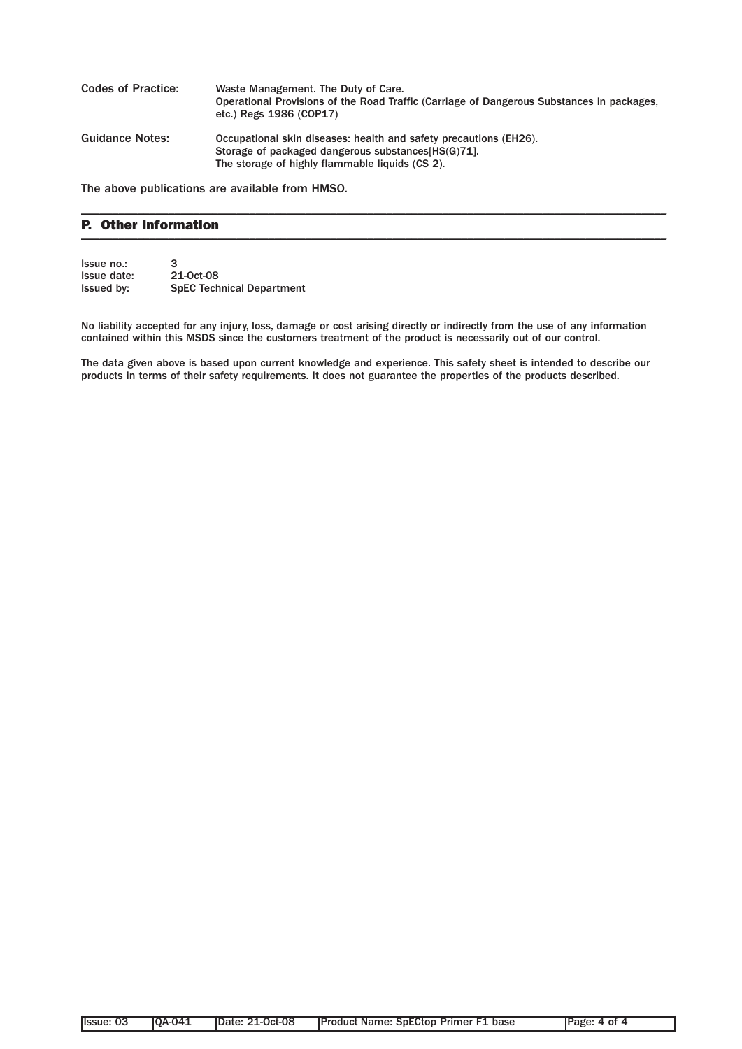| <b>Codes of Practice:</b> | Waste Management. The Duty of Care.<br>Operational Provisions of the Road Traffic (Carriage of Dangerous Substances in packages,<br>etc.) Regs 1986 (COP17)                 |
|---------------------------|-----------------------------------------------------------------------------------------------------------------------------------------------------------------------------|
| <b>Guidance Notes:</b>    | Occupational skin diseases: health and safety precautions (EH26).<br>Storage of packaged dangerous substances [HS(G) 71.<br>The storage of highly flammable liquids (CS 2). |

\_\_\_\_\_\_\_\_\_\_\_\_\_\_\_\_\_\_\_\_\_\_\_\_\_\_\_\_\_\_\_\_\_\_\_\_\_\_\_\_\_\_\_\_\_\_\_\_\_\_\_\_\_\_\_\_\_\_\_\_\_\_\_\_\_\_\_\_\_\_\_\_\_\_\_\_\_\_\_\_\_\_\_\_\_\_\_\_\_\_\_\_\_\_

The above publications are available from HMSO.

### P. Other Information  $\blacksquare$

| Issue no.:        | 3                                |
|-------------------|----------------------------------|
| Issue date:       | 21-0ct-08                        |
| <b>Issued by:</b> | <b>SpEC Technical Department</b> |

No liability accepted for any injury, loss, damage or cost arising directly or indirectly from the use of any information contained within this MSDS since the customers treatment of the product is necessarily out of our control.

The data given above is based upon current knowledge and experience. This safety sheet is intended to describe our products in terms of their safety requirements. It does not guarantee the properties of the products described.

| llssue: 03 | <b>IOA-041</b> | <b>IDate: 21-Oct-08</b> | <b>Product Name: SpECtop Primer F1 base</b> | Page: 4 of 4 |
|------------|----------------|-------------------------|---------------------------------------------|--------------|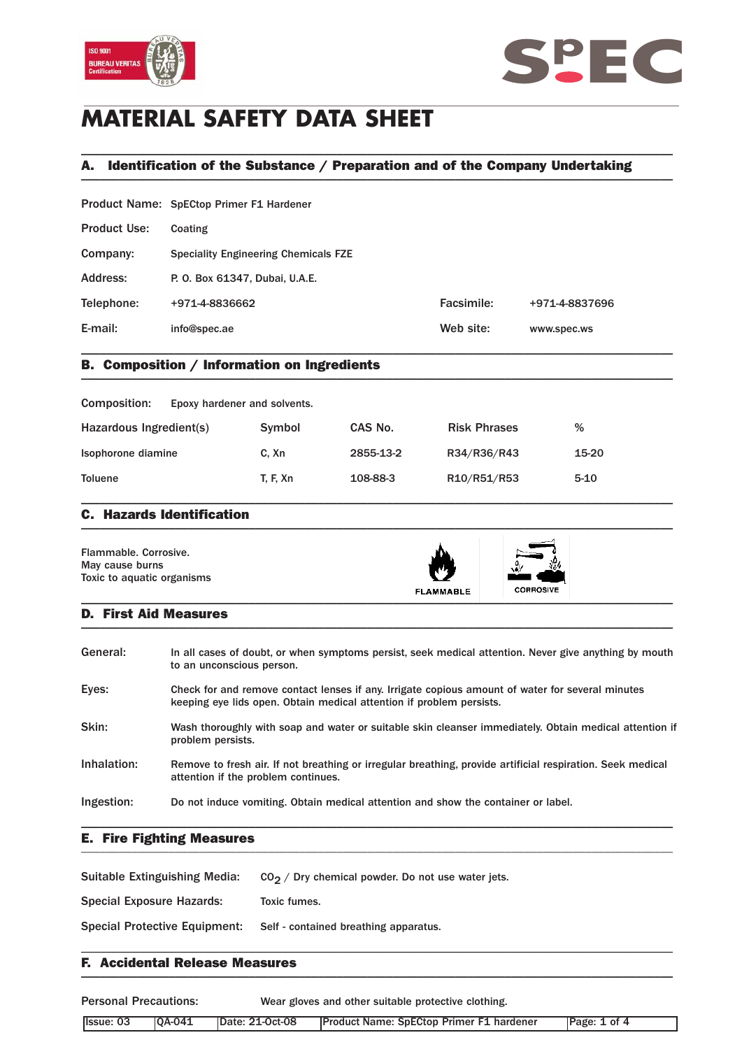



# **MATERIAL SAFETY DATA SHEET**

## A. Identification of the Substance / Preparation and of the Company Undertaking \_\_\_\_\_\_\_\_\_\_\_\_\_\_\_\_\_\_\_\_\_\_\_\_\_\_\_\_\_\_\_\_\_\_\_\_\_\_\_\_\_\_\_\_\_\_\_\_\_\_\_\_\_\_\_\_\_\_\_\_\_\_\_\_\_\_\_\_\_\_\_\_\_\_\_\_\_\_\_\_\_\_\_\_\_\_\_\_\_\_\_\_\_\_\_

\_\_\_\_\_\_\_\_\_\_\_\_\_\_\_\_\_\_\_\_\_\_\_\_\_\_\_\_\_\_\_\_\_\_\_\_\_\_\_\_\_\_\_\_\_\_\_\_\_\_\_\_\_\_\_\_\_\_\_\_\_\_\_\_\_\_\_\_\_\_\_\_\_\_\_\_\_\_\_\_\_\_\_\_\_\_\_\_\_\_\_\_\_\_\_

| E-mail:             | info@spec.ae                                | Web site:  | www.spec.ws    |
|---------------------|---------------------------------------------|------------|----------------|
| Telephone:          | +971-4-8836662                              | Facsimile: | +971-4-8837696 |
| Address:            | P. O. Box 61347, Dubai, U.A.E.              |            |                |
| Company:            | <b>Speciality Engineering Chemicals FZE</b> |            |                |
| <b>Product Use:</b> | Coating                                     |            |                |
|                     | Product Name: SpECtop Primer F1 Hardener    |            |                |

## B. Composition / Information on Ingredients \_\_\_\_\_\_\_\_\_\_\_\_\_\_\_\_\_\_\_\_\_\_\_\_\_\_\_\_\_\_\_\_\_\_\_\_\_\_\_\_\_\_\_\_\_\_\_\_\_\_\_\_\_\_\_\_\_\_\_\_\_\_\_\_\_\_\_\_\_\_\_\_\_\_\_\_\_\_\_\_\_\_\_\_\_\_\_\_\_\_\_\_\_\_\_

| Composition:<br>Epoxy hardener and solvents. |          |           |                     |        |
|----------------------------------------------|----------|-----------|---------------------|--------|
| Hazardous Ingredient(s)                      | Symbol   | CAS No.   | <b>Risk Phrases</b> | %      |
| Isophorone diamine                           | C. Xn    | 2855-13-2 | R34/R36/R43         | 15-20  |
| <b>Toluene</b>                               | T. F. Xn | 108-88-3  | R10/R51/R53         | $5-10$ |

### C. Hazards Identification  $\blacksquare$

| Flammable, Corrosive.<br>May cause burns<br>Toxic to aquatic organisms | <b>FLAMMABLE</b> | N 7<br><b>CORROSIVE</b> |  |
|------------------------------------------------------------------------|------------------|-------------------------|--|
|------------------------------------------------------------------------|------------------|-------------------------|--|

### D. First Aid Measures  $\blacksquare$

| General:    | In all cases of doubt, or when symptoms persist, seek medical attention. Never give anything by mouth<br>to an unconscious person.                                       |
|-------------|--------------------------------------------------------------------------------------------------------------------------------------------------------------------------|
| Eyes:       | Check for and remove contact lenses if any. Irrigate copious amount of water for several minutes<br>keeping eye lids open. Obtain medical attention if problem persists. |
| Skin:       | Wash thoroughly with soap and water or suitable skin cleanser immediately. Obtain medical attention if<br>problem persists.                                              |
| Inhalation: | Remove to fresh air. If not breathing or irregular breathing, provide artificial respiration. Seek medical<br>attention if the problem continues.                        |
| Ingestion:  | Do not induce vomiting. Obtain medical attention and show the container or label.                                                                                        |

### E. Fire Fighting Measures \_\_\_\_\_\_\_\_\_\_\_\_\_\_\_\_\_\_\_\_\_\_\_\_\_\_\_\_\_\_\_\_\_\_\_\_\_\_\_\_\_\_\_\_\_\_\_\_\_\_\_\_\_\_\_\_\_\_\_\_\_\_\_\_\_\_\_\_\_\_\_\_\_\_\_\_\_\_\_\_\_\_\_\_\_\_\_\_\_\_\_\_\_\_\_

| <b>Suitable Extinguishing Media:</b> | $CO2$ / Dry chemical powder. Do not use water jets. |
|--------------------------------------|-----------------------------------------------------|
| <b>Special Exposure Hazards:</b>     | Toxic fumes.                                        |
| <b>Special Protective Equipment:</b> | Self - contained breathing apparatus.               |
|                                      |                                                     |

### F. Accidental Release Measures  $\blacksquare$

Personal Precautions: Wear gloves and other suitable protective clothing. Issue: 03 | QA-041 | Date: 21-Oct-08 | Product Name: SpECtop Primer F1 hardener | Page: 1 of 4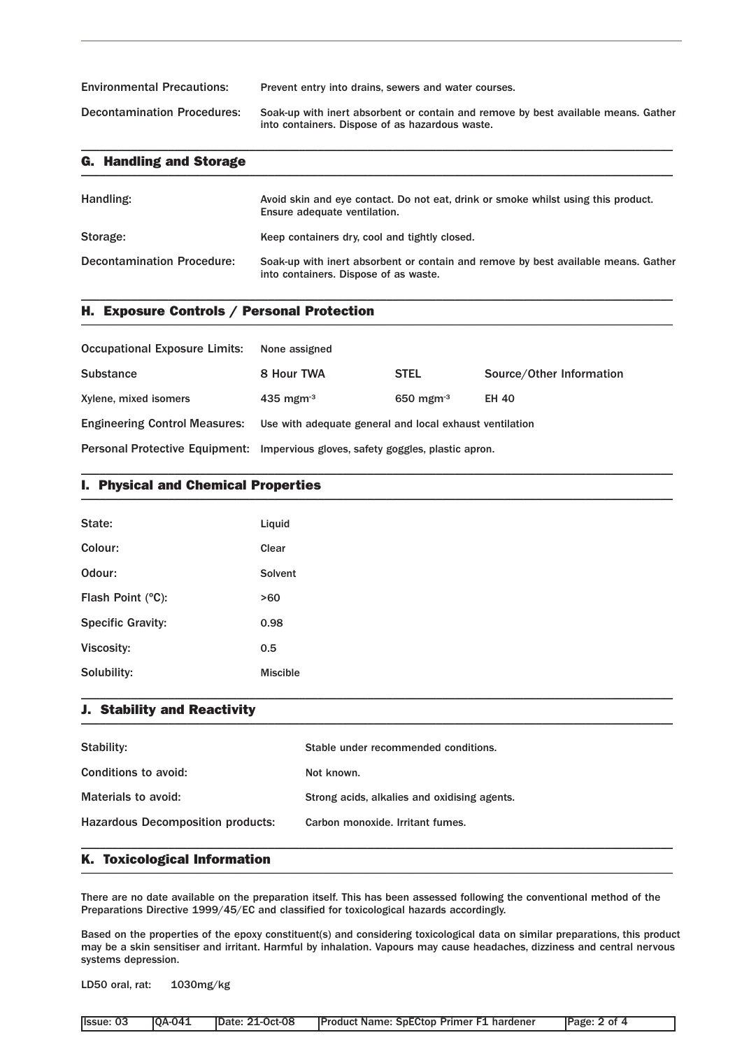| <b>Environmental Precautions:</b>  | Prevent entry into drains, sewers and water courses.                                                                                  |
|------------------------------------|---------------------------------------------------------------------------------------------------------------------------------------|
| <b>Decontamination Procedures:</b> | Soak-up with inert absorbent or contain and remove by best available means. Gather<br>into containers. Dispose of as hazardous waste. |

\_\_\_\_\_\_\_\_\_\_\_\_\_\_\_\_\_\_\_\_\_\_\_\_\_\_\_\_\_\_\_\_\_\_\_\_\_\_\_\_\_\_\_\_\_\_\_\_\_\_\_\_\_\_\_\_\_\_\_\_\_\_\_\_\_\_\_\_\_\_\_\_\_\_\_\_\_\_\_\_\_\_\_\_\_\_\_\_\_\_\_\_\_\_\_

| <b>G. Handling and Storage</b> |                                                                                                                   |
|--------------------------------|-------------------------------------------------------------------------------------------------------------------|
| Handling:                      | Avoid skin and eye contact. Do not eat, drink or smoke whilst using this product.<br>Ensure adequate ventilation. |

| Storage:                          | Keep containers dry, cool and tightly closed.                                                                               |
|-----------------------------------|-----------------------------------------------------------------------------------------------------------------------------|
| <b>Decontamination Procedure:</b> | Soak-up with inert absorbent or contain and remove by best available means. Gather<br>into containers. Dispose of as waste. |

\_\_\_\_\_\_\_\_\_\_\_\_\_\_\_\_\_\_\_\_\_\_\_\_\_\_\_\_\_\_\_\_\_\_\_\_\_\_\_\_\_\_\_\_\_\_\_\_\_\_\_\_\_\_\_\_\_\_\_\_\_\_\_\_\_\_\_\_\_\_\_\_\_\_\_\_\_\_\_\_\_\_\_\_\_\_\_\_\_\_\_\_\_\_\_

## H. Exposure Controls / Personal Protection \_\_\_\_\_\_\_\_\_\_\_\_\_\_\_\_\_\_\_\_\_\_\_\_\_\_\_\_\_\_\_\_\_\_\_\_\_\_\_\_\_\_\_\_\_\_\_\_\_\_\_\_\_\_\_\_\_\_\_\_\_\_\_\_\_\_\_\_\_\_\_\_\_\_\_\_\_\_\_\_\_\_\_\_\_\_\_\_\_\_\_\_\_\_\_

| <b>Occupational Exposure Limits:</b> | None assigned                                                                    |                 |                          |
|--------------------------------------|----------------------------------------------------------------------------------|-----------------|--------------------------|
| <b>Substance</b>                     | 8 Hour TWA                                                                       | <b>STEL</b>     | Source/Other Information |
| Xylene, mixed isomers                | $435$ mgm <sup>-3</sup>                                                          | 650 mgm $^{-3}$ | <b>EH 40</b>             |
| <b>Engineering Control Measures:</b> | Use with adequate general and local exhaust ventilation                          |                 |                          |
|                                      | Personal Protective Equipment: Impervious gloves, safety goggles, plastic apron. |                 |                          |

\_\_\_\_\_\_\_\_\_\_\_\_\_\_\_\_\_\_\_\_\_\_\_\_\_\_\_\_\_\_\_\_\_\_\_\_\_\_\_\_\_\_\_\_\_\_\_\_\_\_\_\_\_\_\_\_\_\_\_\_\_\_\_\_\_\_\_\_\_\_\_\_\_\_\_\_\_\_\_\_\_\_\_\_\_\_\_\_\_\_\_\_\_\_\_

## I. Physical and Chemical Properties \_\_\_\_\_\_\_\_\_\_\_\_\_\_\_\_\_\_\_\_\_\_\_\_\_\_\_\_\_\_\_\_\_\_\_\_\_\_\_\_\_\_\_\_\_\_\_\_\_\_\_\_\_\_\_\_\_\_\_\_\_\_\_\_\_\_\_\_\_\_\_\_\_\_\_\_\_\_\_\_\_\_\_\_\_\_\_\_\_\_\_\_\_\_\_

| State:                   | Liquid          |
|--------------------------|-----------------|
| Colour:                  | Clear           |
| Odour:                   | Solvent         |
| Flash Point (°C):        | >60             |
| <b>Specific Gravity:</b> | 0.98            |
| Viscosity:               | 0.5             |
| Solubility:              | <b>Miscible</b> |

## J. Stability and Reactivity \_\_\_\_\_\_\_\_\_\_\_\_\_\_\_\_\_\_\_\_\_\_\_\_\_\_\_\_\_\_\_\_\_\_\_\_\_\_\_\_\_\_\_\_\_\_\_\_\_\_\_\_\_\_\_\_\_\_\_\_\_\_\_\_\_\_\_\_\_\_\_\_\_\_\_\_\_\_\_\_\_\_\_\_\_\_\_\_\_\_\_\_\_\_\_

| Stability:                               | Stable under recommended conditions.         |
|------------------------------------------|----------------------------------------------|
| Conditions to avoid:                     | Not known.                                   |
| Materials to avoid:                      | Strong acids, alkalies and oxidising agents. |
| <b>Hazardous Decomposition products:</b> | Carbon monoxide, Irritant fumes.             |
|                                          |                                              |

\_\_\_\_\_\_\_\_\_\_\_\_\_\_\_\_\_\_\_\_\_\_\_\_\_\_\_\_\_\_\_\_\_\_\_\_\_\_\_\_\_\_\_\_\_\_\_\_\_\_\_\_\_\_\_\_\_\_\_\_\_\_\_\_\_\_\_\_\_\_\_\_\_\_\_\_\_\_\_\_\_\_\_\_\_\_\_\_\_\_\_\_\_\_\_

## K. Toxicological Information \_\_\_\_\_\_\_\_\_\_\_\_\_\_\_\_\_\_\_\_\_\_\_\_\_\_\_\_\_\_\_\_\_\_\_\_\_\_\_\_\_\_\_\_\_\_\_\_\_\_\_\_\_\_\_\_\_\_\_\_\_\_\_\_\_\_\_\_\_\_\_\_\_\_\_\_\_\_\_\_\_\_\_\_\_\_\_\_\_\_\_\_\_\_\_

There are no date available on the preparation itself. This has been assessed following the conventional method of the Preparations Directive 1999/45/EC and classified for toxicological hazards accordingly.

Based on the properties of the epoxy constituent(s) and considering toxicological data on similar preparations, this product may be a skin sensitiser and irritant. Harmful by inhalation. Vapours may cause headaches, dizziness and central nervous systems depression.

LD50 oral, rat: 1030mg/kg

|  |  | Product Name: SpECtop Primer F1 hardener | Page: 2 of 4 |
|--|--|------------------------------------------|--------------|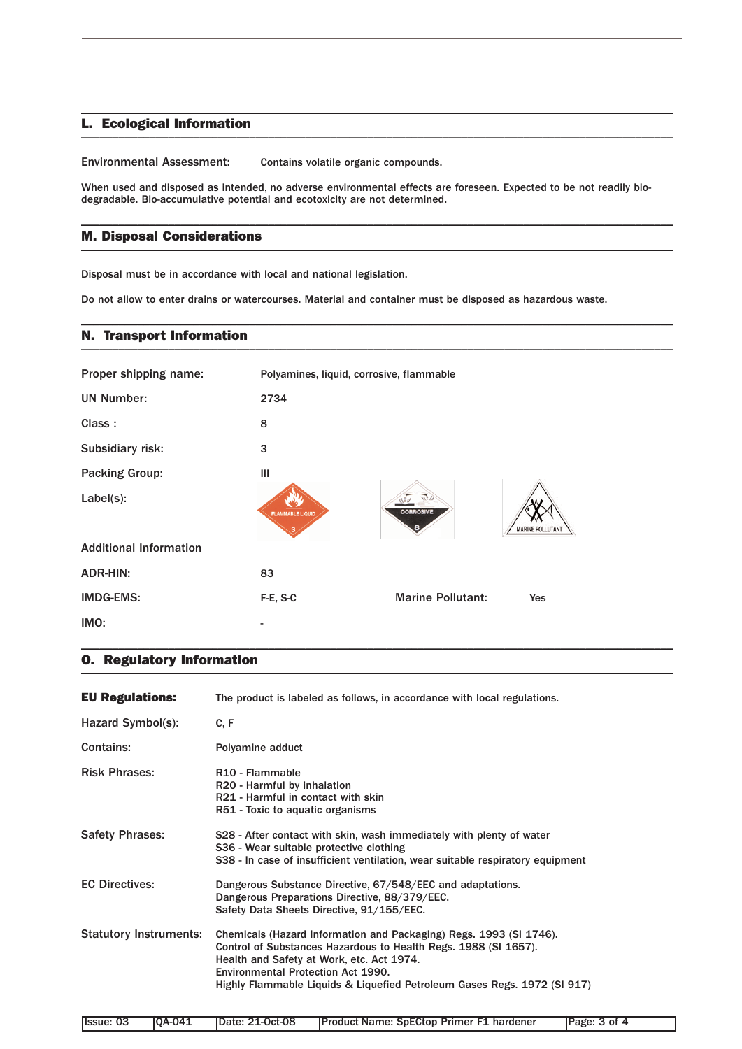## L. Ecological Information \_\_\_\_\_\_\_\_\_\_\_\_\_\_\_\_\_\_\_\_\_\_\_\_\_\_\_\_\_\_\_\_\_\_\_\_\_\_\_\_\_\_\_\_\_\_\_\_\_\_\_\_\_\_\_\_\_\_\_\_\_\_\_\_\_\_\_\_\_\_\_\_\_\_\_\_\_\_\_\_\_\_\_\_\_\_\_\_\_\_\_\_\_\_\_

Environmental Assessment: Contains volatile organic compounds.

When used and disposed as intended, no adverse environmental effects are foreseen. Expected to be not readily biodegradable. Bio-accumulative potential and ecotoxicity are not determined.

\_\_\_\_\_\_\_\_\_\_\_\_\_\_\_\_\_\_\_\_\_\_\_\_\_\_\_\_\_\_\_\_\_\_\_\_\_\_\_\_\_\_\_\_\_\_\_\_\_\_\_\_\_\_\_\_\_\_\_\_\_\_\_\_\_\_\_\_\_\_\_\_\_\_\_\_\_\_\_\_\_\_\_\_\_\_\_\_\_\_\_\_\_\_\_

\_\_\_\_\_\_\_\_\_\_\_\_\_\_\_\_\_\_\_\_\_\_\_\_\_\_\_\_\_\_\_\_\_\_\_\_\_\_\_\_\_\_\_\_\_\_\_\_\_\_\_\_\_\_\_\_\_\_\_\_\_\_\_\_\_\_\_\_\_\_\_\_\_\_\_\_\_\_\_\_\_\_\_\_\_\_\_\_\_\_\_\_\_\_\_

\_\_\_\_\_\_\_\_\_\_\_\_\_\_\_\_\_\_\_\_\_\_\_\_\_\_\_\_\_\_\_\_\_\_\_\_\_\_\_\_\_\_\_\_\_\_\_\_\_\_\_\_\_\_\_\_\_\_\_\_\_\_\_\_\_\_\_\_\_\_\_\_\_\_\_\_\_\_\_\_\_\_\_\_\_\_\_\_\_\_\_\_\_\_\_

## M. Disposal Considerations \_\_\_\_\_\_\_\_\_\_\_\_\_\_\_\_\_\_\_\_\_\_\_\_\_\_\_\_\_\_\_\_\_\_\_\_\_\_\_\_\_\_\_\_\_\_\_\_\_\_\_\_\_\_\_\_\_\_\_\_\_\_\_\_\_\_\_\_\_\_\_\_\_\_\_\_\_\_\_\_\_\_\_\_\_\_\_\_\_\_\_\_\_\_\_

Disposal must be in accordance with local and national legislation.

Do not allow to enter drains or watercourses. Material and container must be disposed as hazardous waste.

### N. Transport Information \_\_\_\_\_\_\_\_\_\_\_\_\_\_\_\_\_\_\_\_\_\_\_\_\_\_\_\_\_\_\_\_\_\_\_\_\_\_\_\_\_\_\_\_\_\_\_\_\_\_\_\_\_\_\_\_\_\_\_\_\_\_\_\_\_\_\_\_\_\_\_\_\_\_\_\_\_\_\_\_\_\_\_\_\_\_\_\_\_\_\_\_\_\_\_

| Proper shipping name:         | Polyamines, liquid, corrosive, flammable |                          |                         |
|-------------------------------|------------------------------------------|--------------------------|-------------------------|
| <b>UN Number:</b>             | 2734                                     |                          |                         |
| Class:                        | 8                                        |                          |                         |
| Subsidiary risk:              | 3                                        |                          |                         |
| <b>Packing Group:</b>         | III                                      |                          |                         |
| Label(s):                     | <b>FLAMMABLE LIQUID</b>                  | <b>CORROSIVE</b>         | <b>MARINE POLLUTANT</b> |
| <b>Additional Information</b> |                                          |                          |                         |
| <b>ADR-HIN:</b>               | 83                                       |                          |                         |
| <b>IMDG-EMS:</b>              | F-E, S-C                                 | <b>Marine Pollutant:</b> | Yes                     |
| IMO:                          |                                          |                          |                         |

\_\_\_\_\_\_\_\_\_\_\_\_\_\_\_\_\_\_\_\_\_\_\_\_\_\_\_\_\_\_\_\_\_\_\_\_\_\_\_\_\_\_\_\_\_\_\_\_\_\_\_\_\_\_\_\_\_\_\_\_\_\_\_\_\_\_\_\_\_\_\_\_\_\_\_\_\_\_\_\_\_\_\_\_\_\_\_\_\_\_\_\_\_\_\_

## O. Regulatory Information \_\_\_\_\_\_\_\_\_\_\_\_\_\_\_\_\_\_\_\_\_\_\_\_\_\_\_\_\_\_\_\_\_\_\_\_\_\_\_\_\_\_\_\_\_\_\_\_\_\_\_\_\_\_\_\_\_\_\_\_\_\_\_\_\_\_\_\_\_\_\_\_\_\_\_\_\_\_\_\_\_\_\_\_\_\_\_\_\_\_\_\_\_\_\_

| <b>EU Regulations:</b>        | The product is labeled as follows, in accordance with local regulations.                                                                                                                                                                                                                                    |
|-------------------------------|-------------------------------------------------------------------------------------------------------------------------------------------------------------------------------------------------------------------------------------------------------------------------------------------------------------|
| Hazard Symbol(s):             | C.F                                                                                                                                                                                                                                                                                                         |
| <b>Contains:</b>              | Polyamine adduct                                                                                                                                                                                                                                                                                            |
| <b>Risk Phrases:</b>          | R <sub>10</sub> - Flammable<br>R20 - Harmful by inhalation<br>R21 - Harmful in contact with skin<br>R51 - Toxic to aquatic organisms                                                                                                                                                                        |
| <b>Safety Phrases:</b>        | S28 - After contact with skin, wash immediately with plenty of water<br>S36 - Wear suitable protective clothing<br>S38 - In case of insufficient ventilation, wear suitable respiratory equipment                                                                                                           |
| <b>EC Directives:</b>         | Dangerous Substance Directive, 67/548/EEC and adaptations.<br>Dangerous Preparations Directive, 88/379/EEC.<br>Safety Data Sheets Directive, 91/155/EEC.                                                                                                                                                    |
| <b>Statutory Instruments:</b> | Chemicals (Hazard Information and Packaging) Regs. 1993 (SI 1746).<br>Control of Substances Hazardous to Health Regs. 1988 (SI 1657).<br>Health and Safety at Work, etc. Act 1974.<br><b>Environmental Protection Act 1990.</b><br>Highly Flammable Liquids & Liquefied Petroleum Gases Regs. 1972 (SI 917) |

| Ilssue: 03 | <b>IOA-041</b> | <b>IDate: 21-Oct-08</b> | <b>Product Name: SpECtop Primer F1 hardener</b> | Page: 3 of 4 |
|------------|----------------|-------------------------|-------------------------------------------------|--------------|
|------------|----------------|-------------------------|-------------------------------------------------|--------------|